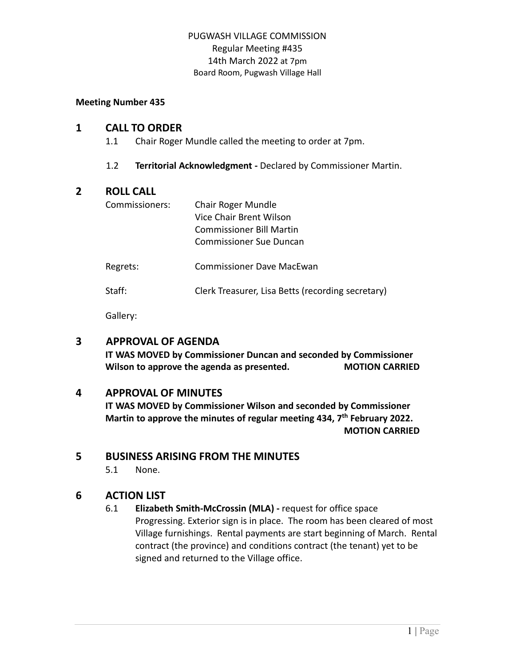#### **Meeting Number 435**

#### **1 CALL TO ORDER**

- 1.1 Chair Roger Mundle called the meeting to order at 7pm.
- 1.2 **Territorial Acknowledgment -** Declared by Commissioner Martin.

### **2 ROLL CALL**

| Commissioners: | Chair Roger Mundle              |
|----------------|---------------------------------|
|                | Vice Chair Brent Wilson         |
|                | <b>Commissioner Bill Martin</b> |
|                | Commissioner Sue Duncan         |
|                |                                 |

Regrets: Commissioner Dave MacEwan

Staff: Clerk Treasurer, Lisa Betts (recording secretary)

Gallery:

### **3 APPROVAL OF AGENDA**

**IT WAS MOVED by Commissioner Duncan and seconded by Commissioner Wilson to approve the agenda as presented. MOTION CARRIED**

### **4 APPROVAL OF MINUTES**

**IT WAS MOVED by Commissioner Wilson and seconded by Commissioner Martin to approve the minutes of regular meeting 434, 7 th February 2022. MOTION CARRIED**

### **5 BUSINESS ARISING FROM THE MINUTES**

5.1 None.

### **6 ACTION LIST**

6.1 **Elizabeth Smith-McCrossin (MLA) -** request for office space Progressing. Exterior sign is in place. The room has been cleared of most Village furnishings. Rental payments are start beginning of March. Rental contract (the province) and conditions contract (the tenant) yet to be signed and returned to the Village office.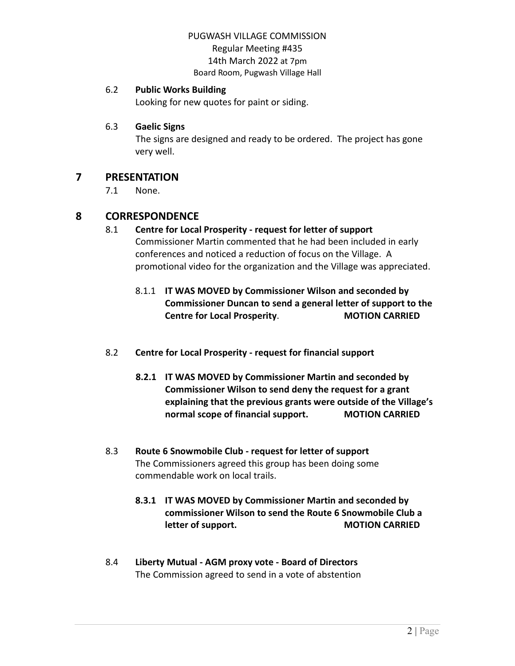#### 6.2 **Public Works Building**

Looking for new quotes for paint or siding.

#### 6.3 **Gaelic Signs**

The signs are designed and ready to be ordered. The project has gone very well.

## **7 PRESENTATION**

7.1 None.

## **8 CORRESPONDENCE**

#### 8.1 **Centre for Local Prosperity - request for letter of support** Commissioner Martin commented that he had been included in early

conferences and noticed a reduction of focus on the Village. A promotional video for the organization and the Village was appreciated.

## 8.1.1 **IT WAS MOVED by Commissioner Wilson and seconded by Commissioner Duncan to send a general letter of support to the Centre for Local Prosperity**. **MOTION CARRIED**

- 8.2 **Centre for Local Prosperity - request for financial support**
	- **8.2.1 IT WAS MOVED by Commissioner Martin and seconded by Commissioner Wilson to send deny the request for a grant explaining that the previous grants were outside of the Village's normal scope of financial support. MOTION CARRIED**
- 8.3 **Route 6 Snowmobile Club - request for letter of support** The Commissioners agreed this group has been doing some commendable work on local trails.
	- **8.3.1 IT WAS MOVED by Commissioner Martin and seconded by commissioner Wilson to send the Route 6 Snowmobile Club a letter** of support. **MOTION CARRIED**
- 8.4 **Liberty Mutual - AGM proxy vote - Board of Directors** The Commission agreed to send in a vote of abstention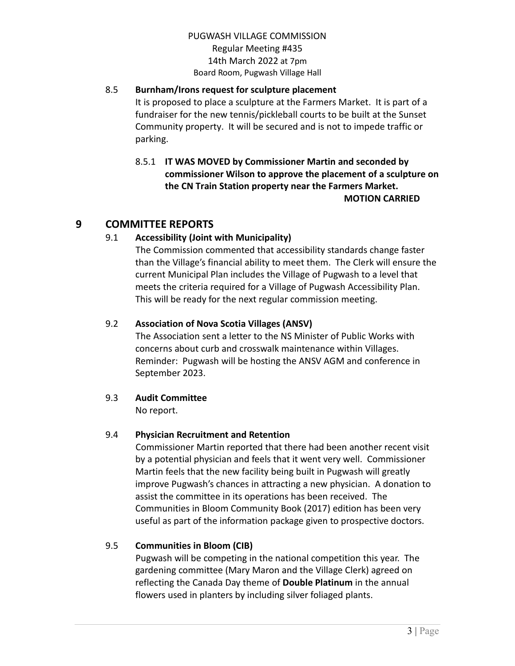## 8.5 **Burnham/Irons request for sculpture placement**

It is proposed to place a sculpture at the Farmers Market. It is part of a fundraiser for the new tennis/pickleball courts to be built at the Sunset Community property. It will be secured and is not to impede traffic or parking.

8.5.1 **IT WAS MOVED by Commissioner Martin and seconded by commissioner Wilson to approve the placement of a sculpture on the CN Train Station property near the Farmers Market. MOTION CARRIED**

# **9 COMMITTEE REPORTS**

## 9.1 **Accessibility (Joint with Municipality)**

The Commission commented that accessibility standards change faster than the Village's financial ability to meet them. The Clerk will ensure the current Municipal Plan includes the Village of Pugwash to a level that meets the criteria required for a Village of Pugwash Accessibility Plan. This will be ready for the next regular commission meeting.

## 9.2 **Association of Nova Scotia Villages (ANSV)**

The Association sent a letter to the NS Minister of Public Works with concerns about curb and crosswalk maintenance within Villages. Reminder: Pugwash will be hosting the ANSV AGM and conference in September 2023.

### 9.3 **Audit Committee**

No report.

## 9.4 **Physician Recruitment and Retention**

Commissioner Martin reported that there had been another recent visit by a potential physician and feels that it went very well. Commissioner Martin feels that the new facility being built in Pugwash will greatly improve Pugwash's chances in attracting a new physician. A donation to assist the committee in its operations has been received. The Communities in Bloom Community Book (2017) edition has been very useful as part of the information package given to prospective doctors.

### 9.5 **Communities in Bloom (CIB)**

Pugwash will be competing in the national competition this year. The gardening committee (Mary Maron and the Village Clerk) agreed on reflecting the Canada Day theme of **Double Platinum** in the annual flowers used in planters by including silver foliaged plants.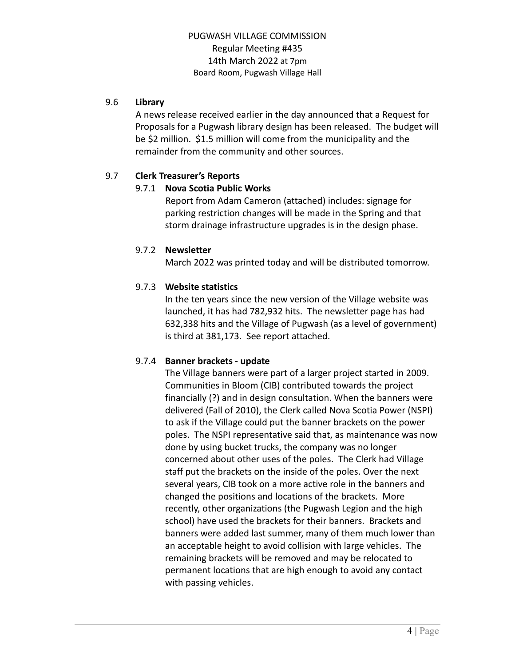#### 9.6 **Library**

A news release received earlier in the day announced that a Request for Proposals for a Pugwash library design has been released. The budget will be \$2 million. \$1.5 million will come from the municipality and the remainder from the community and other sources.

### 9.7 **Clerk Treasurer's Reports**

#### 9.7.1 **Nova Scotia Public Works**

Report from Adam Cameron (attached) includes: signage for parking restriction changes will be made in the Spring and that storm drainage infrastructure upgrades is in the design phase.

#### 9.7.2 **Newsletter**

March 2022 was printed today and will be distributed tomorrow.

### 9.7.3 **Website statistics**

In the ten years since the new version of the Village website was launched, it has had 782,932 hits. The newsletter page has had 632,338 hits and the Village of Pugwash (as a level of government) is third at 381,173. See report attached.

### 9.7.4 **Banner brackets - update**

The Village banners were part of a larger project started in 2009. Communities in Bloom (CIB) contributed towards the project financially (?) and in design consultation. When the banners were delivered (Fall of 2010), the Clerk called Nova Scotia Power (NSPI) to ask if the Village could put the banner brackets on the power poles. The NSPI representative said that, as maintenance was now done by using bucket trucks, the company was no longer concerned about other uses of the poles. The Clerk had Village staff put the brackets on the inside of the poles. Over the next several years, CIB took on a more active role in the banners and changed the positions and locations of the brackets. More recently, other organizations (the Pugwash Legion and the high school) have used the brackets for their banners. Brackets and banners were added last summer, many of them much lower than an acceptable height to avoid collision with large vehicles. The remaining brackets will be removed and may be relocated to permanent locations that are high enough to avoid any contact with passing vehicles.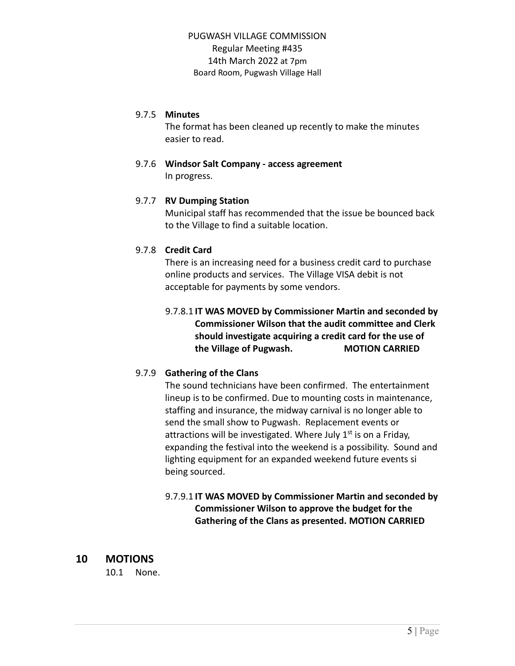#### 9.7.5 **Minutes**

The format has been cleaned up recently to make the minutes easier to read.

#### 9.7.6 **Windsor Salt Company - access agreement** In progress.

#### 9.7.7 **RV Dumping Station**

Municipal staff has recommended that the issue be bounced back to the Village to find a suitable location.

#### 9.7.8 **Credit Card**

There is an increasing need for a business credit card to purchase online products and services. The Village VISA debit is not acceptable for payments by some vendors.

## 9.7.8.1 **IT WAS MOVED by Commissioner Martin and seconded by Commissioner Wilson that the audit committee and Clerk should investigate acquiring a credit card for the use of the Village of Pugwash. MOTION CARRIED**

### 9.7.9 **Gathering of the Clans**

The sound technicians have been confirmed. The entertainment lineup is to be confirmed. Due to mounting costs in maintenance, staffing and insurance, the midway carnival is no longer able to send the small show to Pugwash. Replacement events or attractions will be investigated. Where July 1<sup>st</sup> is on a Friday, expanding the festival into the weekend is a possibility. Sound and lighting equipment for an expanded weekend future events si being sourced.

## 9.7.9.1 **IT WAS MOVED by Commissioner Martin and seconded by Commissioner Wilson to approve the budget for the Gathering of the Clans as presented. MOTION CARRIED**

## **10 MOTIONS**

10.1 None.